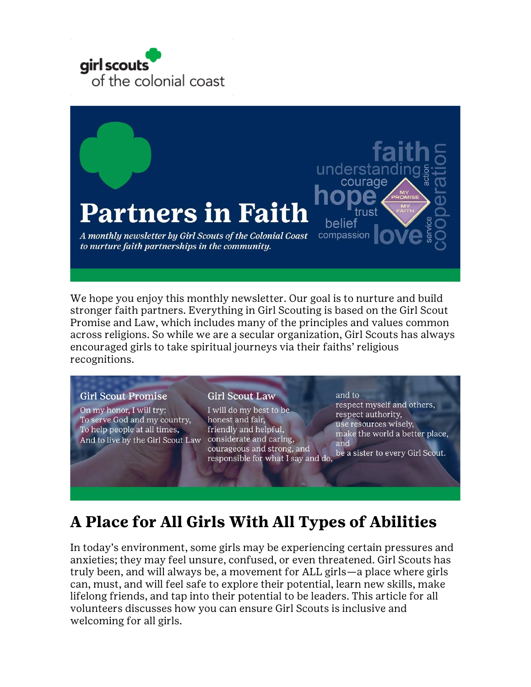



We hope you enjoy this monthly newsletter. Our goal is to nurture and build stronger faith partners. Everything in Girl Scouting is based on the Girl Scout Promise and Law, which includes many of the principles and values common across religions. So while we are a secular organization, Girl Scouts has always encouraged girls to take spiritual journeys via their faiths' religious recognitions.

#### **Girl Scout Promise**

On my honor, I will try: To serve God and my country, To help people at all times, And to live by the Girl Scout Law

#### **Girl Scout Law**

I will do my best to be honest and fair, friendly and helpful, considerate and caring, courageous and strong, and responsible for what I say and do,

and to

respect myself and others, respect authority, use resources wisely, make the world a better place, and be a sister to every Girl Scout.

## **A Place for All Girls With All Types of Abilities**

In today's environment, some girls may be experiencing certain pressures and anxieties; they may feel unsure, confused, or even threatened. Girl Scouts has truly been, and will always be, a movement for ALL girls—a place where girls can, must, and will feel safe to explore their potential, learn new skills, make lifelong friends, and tap into their potential to be leaders. This article for all volunteers discusses how you can ensure Girl Scouts is inclusive and welcoming for all girls.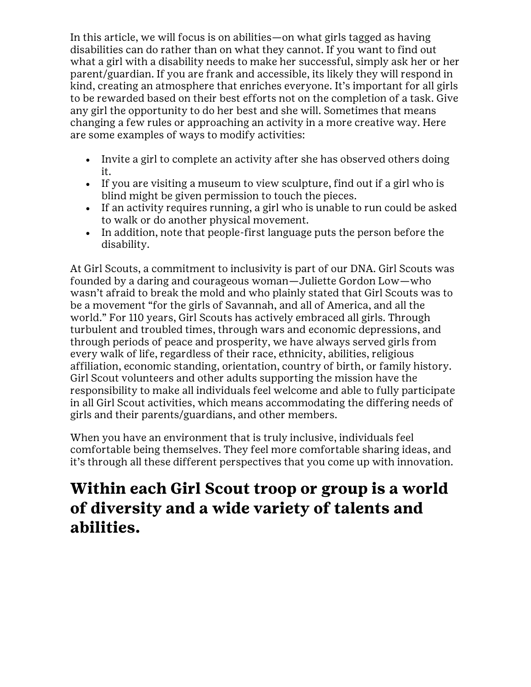In this article, we will focus is on abilities—on what girls tagged as having disabilities can do rather than on what they cannot. If you want to find out what a girl with a disability needs to make her successful, simply ask her or her parent/guardian. If you are frank and accessible, its likely they will respond in kind, creating an atmosphere that enriches everyone. It's important for all girls to be rewarded based on their best efforts not on the completion of a task. Give any girl the opportunity to do her best and she will. Sometimes that means changing a few rules or approaching an activity in a more creative way. Here are some examples of ways to modify activities:

- Invite a girl to complete an activity after she has observed others doing it.
- If you are visiting a museum to view sculpture, find out if a girl who is blind might be given permission to touch the pieces.
- If an activity requires running, a girl who is unable to run could be asked to walk or do another physical movement.
- In addition, note that people-first language puts the person before the disability.

At Girl Scouts, a commitment to inclusivity is part of our DNA. Girl Scouts was founded by a daring and courageous woman—Juliette Gordon Low—who wasn't afraid to break the mold and who plainly stated that Girl Scouts was to be a movement "for the girls of Savannah, and all of America, and all the world." For 110 years, Girl Scouts has actively embraced all girls. Through turbulent and troubled times, through wars and economic depressions, and through periods of peace and prosperity, we have always served girls from every walk of life, regardless of their race, ethnicity, abilities, religious affiliation, economic standing, orientation, country of birth, or family history. Girl Scout volunteers and other adults supporting the mission have the responsibility to make all individuals feel welcome and able to fully participate in all Girl Scout activities, which means accommodating the differing needs of girls and their parents/guardians, and other members.

When you have an environment that is truly inclusive, individuals feel comfortable being themselves. They feel more comfortable sharing ideas, and it's through all these different perspectives that you come up with innovation.

# **Within each Girl Scout troop or group is a world of diversity and a wide variety of talents and abilities.**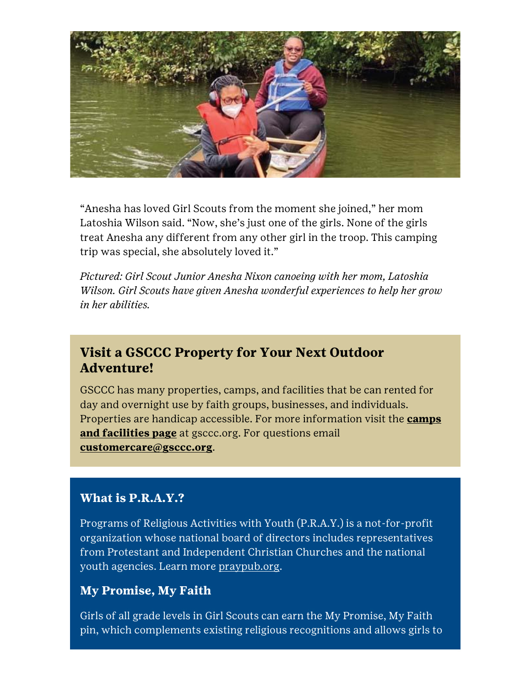

"Anesha has loved Girl Scouts from the moment she joined," her mom Latoshia Wilson said. "Now, she's just one of the girls. None of the girls treat Anesha any different from any other girl in the troop. This camping trip was special, she absolutely loved it."

*Pictured: Girl Scout Junior Anesha Nixon canoeing with her mom, Latoshia Wilson. Girl Scouts have given Anesha wonderful experiences to help her grow in her abilities.*

### **Visit a GSCCC Property for Your Next Outdoor Adventure!**

GSCCC has many properties, camps, and facilities that be can rented for day and overnight use by faith groups, businesses, and individuals. Properties are handicap accessible. For more information visit the **[camps](http://click.email.girlscouts.org/?qs=b8906cf95a9a0d39d522cacf9c717480877ab800d1dbe9d26ba91171cbe738c4dacfcc860467f2a1a54c0377b7dbef2f)  [and facilities page](http://click.email.girlscouts.org/?qs=b8906cf95a9a0d39d522cacf9c717480877ab800d1dbe9d26ba91171cbe738c4dacfcc860467f2a1a54c0377b7dbef2f)** at gsccc.org. For questions email **[customercare@gsccc.org](mailto:customercare@gsccc.org?subject=GSCCC%20Properties)**.

#### **What is P.R.A.Y.?**

Programs of Religious Activities with Youth (P.R.A.Y.) is a not-for-profit organization whose national board of directors includes representatives from Protestant and Independent Christian Churches and the national youth agencies. Learn more [praypub.org.](http://click.email.girlscouts.org/?qs=d72bea38c2261abc389d53923c6a2362b3e6bbb5a301472858315bc94235ed634939fc112fec6ad20210f029e8e5a441)

#### **My Promise, My Faith**

Girls of all grade levels in Girl Scouts can earn the My Promise, My Faith pin, which complements existing religious recognitions and allows girls to